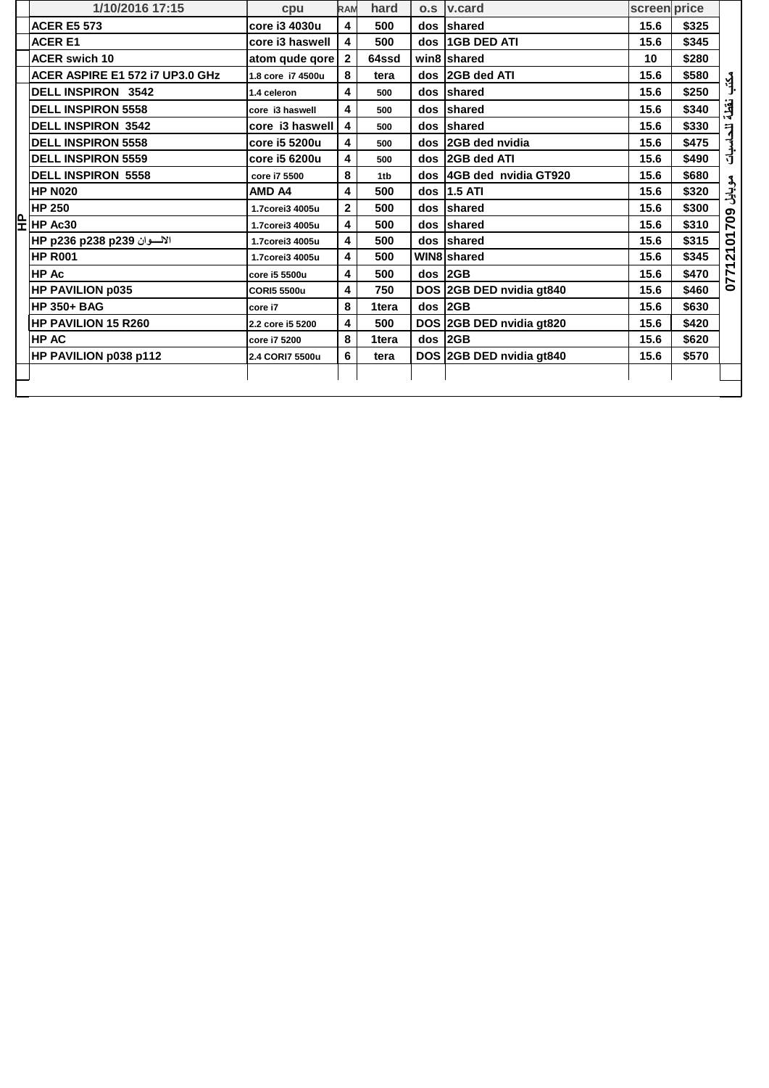|   | 1/10/2016 17:15                 | cpu                | <b>RAM</b>              | hard  |     | o.s   v.card             | screen price |       |                  |
|---|---------------------------------|--------------------|-------------------------|-------|-----|--------------------------|--------------|-------|------------------|
|   | <b>ACER E5 573</b>              | core i3 4030u      | 4                       | 500   |     | dos shared               | 15.6         | \$325 |                  |
|   | <b>ACER E1</b>                  | core i3 haswell    | 4                       | 500   |     | dos 16B DED ATI          | 15.6         | \$345 |                  |
|   | <b>ACER swich 10</b>            | atom qude qore     | $\mathbf{2}$            | 64ssd |     | win8 shared              | 10           | \$280 |                  |
|   | ACER ASPIRE E1 572 I7 UP3.0 GHz | 1.8 core i7 4500u  | 8                       | tera  |     | dos 2GB ded ATI          | 15.6         | \$580 | $\sum_{i=1}^{n}$ |
|   | <b>DELL INSPIRON 3542</b>       | 1.4 celeron        | 4                       | 500   |     | dos shared               | 15.6         | \$250 |                  |
|   | <b>DELL INSPIRON 5558</b>       | core i3 haswell    | 4                       | 500   |     | dos shared               | 15.6         | \$340 | نقطة             |
|   | <b>DELL INSPIRON 3542</b>       | core i3 haswell    | 4                       | 500   | dos | shared                   | 15.6         | \$330 |                  |
|   | <b>DELL INSPIRON 5558</b>       | core i5 5200u      | 4                       | 500   |     | dos 2GB ded nvidia       | 15.6         | \$475 | للحاسبات         |
|   | <b>DELL INSPIRON 5559</b>       | core i5 6200u      | 4                       | 500   | dos | 2GB ded ATI              | 15.6         | \$490 |                  |
|   | <b>DELL INSPIRON 5558</b>       | core i7 5500       | 8                       | 1tb   |     | dos 4GB ded nvidia GT920 | 15.6         | \$680 |                  |
|   | <b>HP N020</b>                  | <b>AMD A4</b>      | 4                       | 500   |     | dos   1.5 ATI            | 15.6         | \$320 | مې<br>زېلن       |
|   | <b>HP 250</b>                   | 1.7corei3 4005u    | $\overline{\mathbf{2}}$ | 500   |     | dos shared               | 15.6         | \$300 |                  |
| 무 | HP Ac30                         | 1.7corei3 4005u    | 4                       | 500   | dos | shared                   | 15.6         | \$310 | 2101709          |
|   | الالسوان 1239 HP p236 p238      | 1.7corei3 4005u    | $\overline{\mathbf{4}}$ | 500   |     | dos shared               | 15.6         | \$315 |                  |
|   | <b>HP R001</b>                  | 1.7corei3 4005u    | 4                       | 500   |     | WIN8 shared              | 15.6         | \$345 |                  |
|   | HP Ac                           | core i5 5500u      | 4                       | 500   |     | $dos$ 2GB                | 15.6         | \$470 | 0771             |
|   | <b>HP PAVILION p035</b>         | <b>CORI5 5500u</b> | 4                       | 750   |     | DOS 2GB DED nvidia gt840 | 15.6         | \$460 |                  |
|   | <b>HP 350+ BAG</b>              | core i7            | 8                       | 1tera |     | $dos$ 2GB                | 15.6         | \$630 |                  |
|   | <b>HP PAVILION 15 R260</b>      | 2.2 core i5 5200   | 4                       | 500   |     | DOS 2GB DED nvidia gt820 | 15.6         | \$420 |                  |
|   | <b>HP AC</b>                    | core i7 5200       | 8                       | 1tera |     | $dos$ 2GB                | 15.6         | \$620 |                  |
|   | HP PAVILION p038 p112           | 2.4 CORI7 5500u    | 6                       | tera  |     | DOS 2GB DED nvidia gt840 | 15.6         | \$570 |                  |
|   |                                 |                    |                         |       |     |                          |              |       |                  |
|   |                                 |                    |                         |       |     |                          |              |       |                  |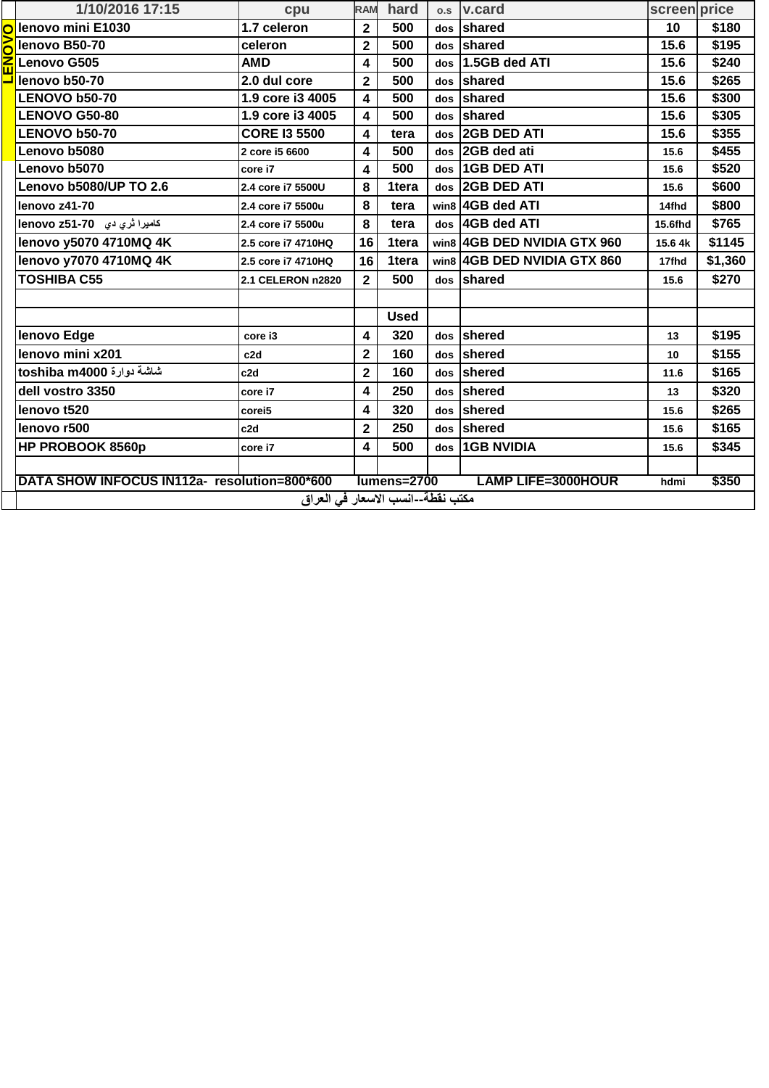|                                                                                                           | 1/10/2016 17:15                   | cpu                 | <b>RAM</b>              | hard        |     | o.s   v.card                | screen price |         |
|-----------------------------------------------------------------------------------------------------------|-----------------------------------|---------------------|-------------------------|-------------|-----|-----------------------------|--------------|---------|
|                                                                                                           | lenovo mini E1030                 | 1.7 celeron         | $\mathbf 2$             | 500         |     | dos shared                  | 10           | \$180   |
|                                                                                                           | lenovo B50-70                     | celeron             | $\mathbf{2}$            | 500         |     | dos shared                  | 15.6         | \$195   |
|                                                                                                           | Lenovo G505                       | <b>AMD</b>          | 4                       | 500         | dos | 1.5GB ded ATI               | 15.6         | \$240   |
|                                                                                                           | lenovo b50-70                     | 2.0 dul core        | $\overline{\mathbf{2}}$ | 500         | dos | shared                      | 15.6         | \$265   |
|                                                                                                           | <b>LENOVO b50-70</b>              | 1.9 core i3 4005    | $\overline{\mathbf{4}}$ | 500         | dos | shared                      | 15.6         | \$300   |
|                                                                                                           | <b>LENOVO G50-80</b>              | 1.9 core i3 4005    | $\overline{\mathbf{4}}$ | 500         |     | dos shared                  | 15.6         | \$305   |
|                                                                                                           | <b>LENOVO b50-70</b>              | <b>CORE I3 5500</b> | $\overline{\mathbf{4}}$ | tera        | dos | <b>2GB DED ATI</b>          | 15.6         | \$355   |
|                                                                                                           | Lenovo b5080                      | 2 core i5 6600      | $\overline{\mathbf{4}}$ | 500         | dos | 2GB ded ati                 | 15.6         | \$455   |
|                                                                                                           | Lenovo b5070                      | core i7             | 4                       | 500         | dos | <b>1GB DED ATI</b>          | 15.6         | \$520   |
|                                                                                                           | Lenovo b5080/UP TO 2.6            | 2.4 core i7 5500U   | 8                       | 1tera       | dos | <b>2GB DED ATI</b>          | 15.6         | \$600   |
|                                                                                                           | lenovo z41-70                     | 2.4 core i7 5500u   | 8                       | tera        |     | win8 4GB ded ATI            | 14fhd        | \$800   |
|                                                                                                           | كاميرا تري دي 19-75 lenovo        | 2.4 core i7 5500u   | 8                       | tera        |     | dos 4GB ded ATI             | 15.6fhd      | \$765   |
|                                                                                                           | lenovo y5070 4710MQ 4K            | 2.5 core i7 4710HQ  | 16                      | 1tera       |     | win8 4GB DED NVIDIA GTX 960 | 15.6 4k      | \$1145  |
|                                                                                                           | lenovo y7070 4710MQ 4K            | 2.5 core i7 4710HQ  | 16                      | 1tera       |     | win8 4GB DED NVIDIA GTX 860 | 17fhd        | \$1,360 |
|                                                                                                           | <b>TOSHIBA C55</b>                | 2.1 CELERON n2820   | $\overline{2}$          | 500         |     | dos shared                  | 15.6         | \$270   |
|                                                                                                           |                                   |                     |                         |             |     |                             |              |         |
|                                                                                                           |                                   |                     |                         | <b>Used</b> |     |                             |              |         |
|                                                                                                           | lenovo Edge                       | core i3             | 4                       | 320         |     | dos Shered                  | 13           | \$195   |
|                                                                                                           | lenovo mini x201                  | c <sub>2d</sub>     | $\mathbf 2$             | 160         |     | dos shered                  | 10           | \$155   |
|                                                                                                           | شاشة دوارة toshiba m4000          | c <sub>2d</sub>     | $\overline{\mathbf{2}}$ | 160         |     | dos shered                  | 11.6         | \$165   |
|                                                                                                           | dell vostro 3350                  | core i7             | 4                       | 250         |     | dos Shered                  | 13           | \$320   |
|                                                                                                           | lenovo t520                       | corei5              | 4                       | 320         | dos | shered                      | 15.6         | \$265   |
|                                                                                                           | lenovo r500                       | c <sub>2d</sub>     | $\mathbf{2}$            | 250         |     | dos shered                  | 15.6         | \$165   |
|                                                                                                           | <b>HP PROBOOK 8560p</b>           | core i7             | $\overline{\mathbf{4}}$ | 500         | dos | <b>16B NVIDIA</b>           | 15.6         | \$345   |
|                                                                                                           |                                   |                     |                         |             |     |                             |              |         |
| DATA SHOW INFOCUS IN112a- resolution=800*600<br>lumens=2700<br><b>LAMP LIFE=3000HOUR</b><br>\$350<br>hdmi |                                   |                     |                         |             |     |                             |              |         |
|                                                                                                           | مكتب نقطة--انسب الاسعار في العراق |                     |                         |             |     |                             |              |         |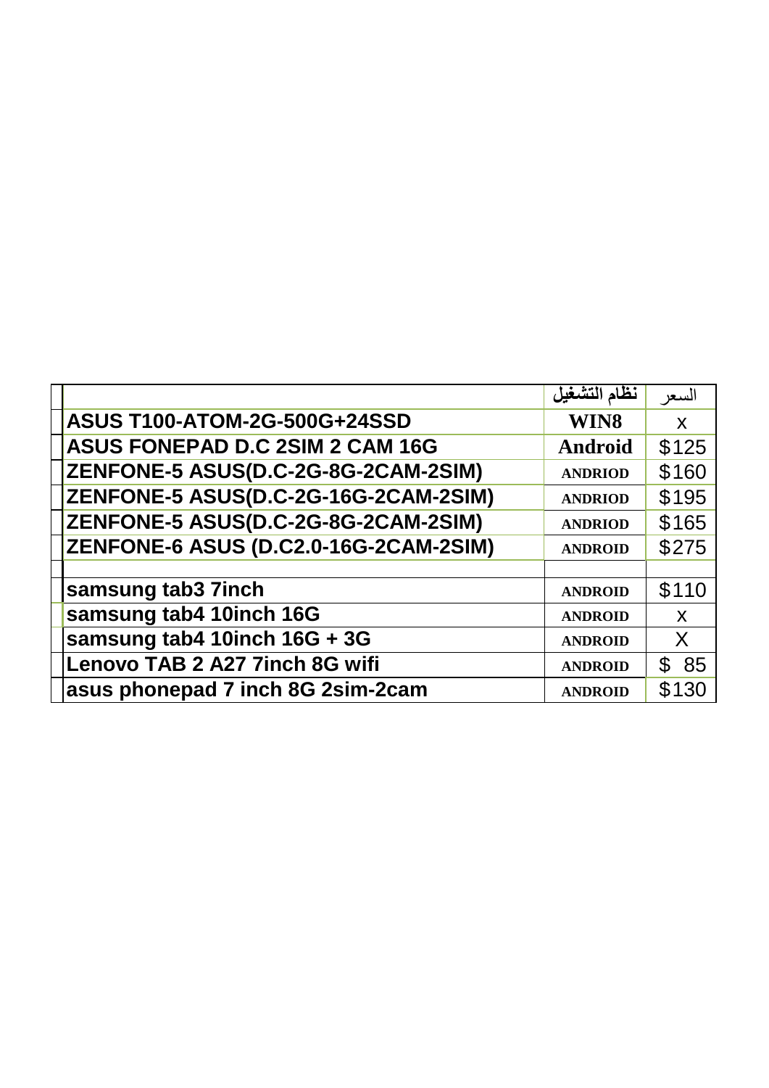|                                              | نظام التشغيل   | السعر        |
|----------------------------------------------|----------------|--------------|
| <b>ASUS T100-ATOM-2G-500G+24SSD</b>          | WIN8           | $\mathsf{X}$ |
| <b>ASUS FONEPAD D.C 2SIM 2 CAM 16G</b>       | <b>Android</b> | \$125        |
| ZENFONE-5 ASUS(D.C-2G-8G-2CAM-2SIM)          | <b>ANDRIOD</b> | \$160        |
| <b>ZENFONE-5 ASUS(D.C-2G-16G-2CAM-2SIM)</b>  | <b>ANDRIOD</b> | \$195        |
| <b>ZENFONE-5 ASUS(D.C-2G-8G-2CAM-2SIM)</b>   | <b>ANDRIOD</b> | \$165        |
| <b>ZENFONE-6 ASUS (D.C2.0-16G-2CAM-2SIM)</b> | <b>ANDROID</b> | \$275        |
|                                              |                |              |
| samsung tab3 7inch                           | <b>ANDROID</b> | \$110        |
| samsung tab4 10inch 16G                      | <b>ANDROID</b> | $\mathsf{X}$ |
| samsung tab4 10inch 16G + 3G                 | <b>ANDROID</b> | X            |
| Lenovo TAB 2 A27 7inch 8G wifi               | <b>ANDROID</b> | 85<br>\$.    |
| asus phonepad 7 inch 8G 2sim-2cam            | <b>ANDROID</b> | \$130        |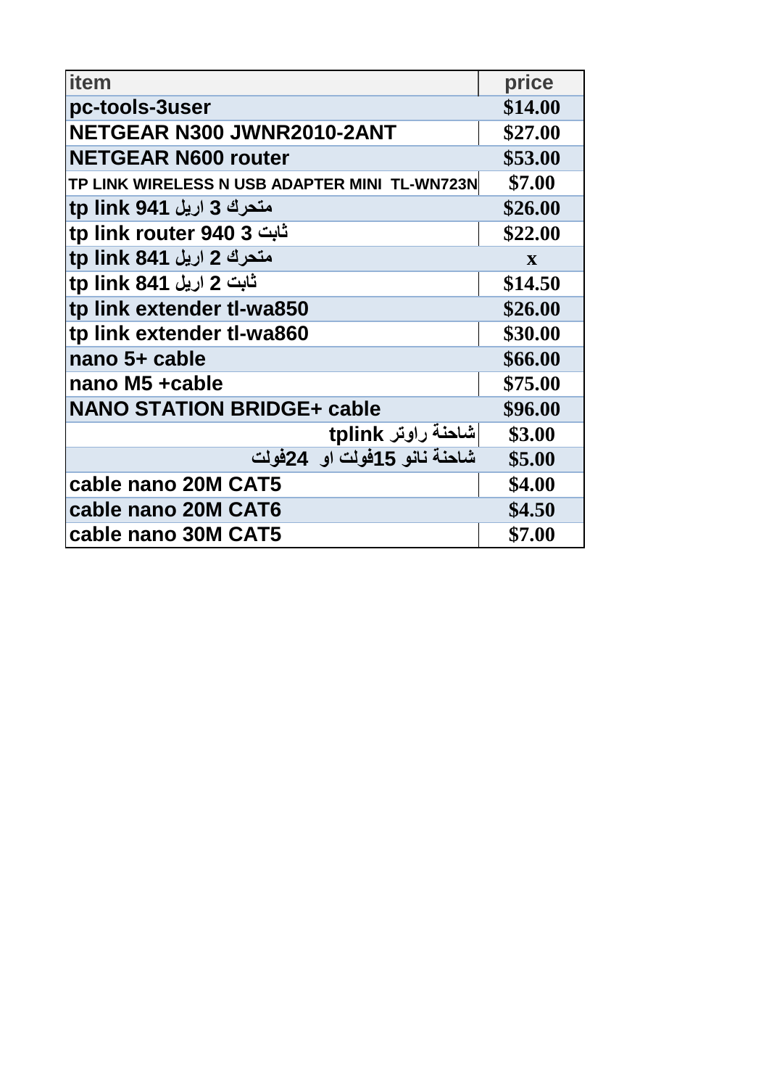| item                                          | price   |
|-----------------------------------------------|---------|
| pc-tools-3user                                | \$14.00 |
| NETGEAR N300 JWNR2010-2ANT                    | \$27.00 |
| <b>NETGEAR N600 router</b>                    | \$53.00 |
| TP LINK WIRELESS N USB ADAPTER MINI TL-WN723N | \$7.00  |
| متحرك 3 اريل 941 tp link                      | \$26.00 |
| tp link router 940 3 ثابت                     | \$22.00 |
| متحرك 2 اريل 841 tp link                      | X       |
| ثابت 2 اريل 841 tp link                       | \$14.50 |
| tp link extender tl-wa850                     | \$26.00 |
| tp link extender tl-wa860                     | \$30.00 |
| nano 5+ cable                                 | \$66.00 |
| nano M5 +cable                                | \$75.00 |
| <b>NANO STATION BRIDGE+ cable</b>             | \$96.00 |
| شاحنة راوتر tplink                            | \$3.00  |
| شاحنة نانو 15فولت او 24فولت                   | \$5.00  |
| cable nano 20M CAT5                           | \$4.00  |
| cable nano 20M CAT6                           | \$4.50  |
| cable nano 30M CAT5                           | \$7.00  |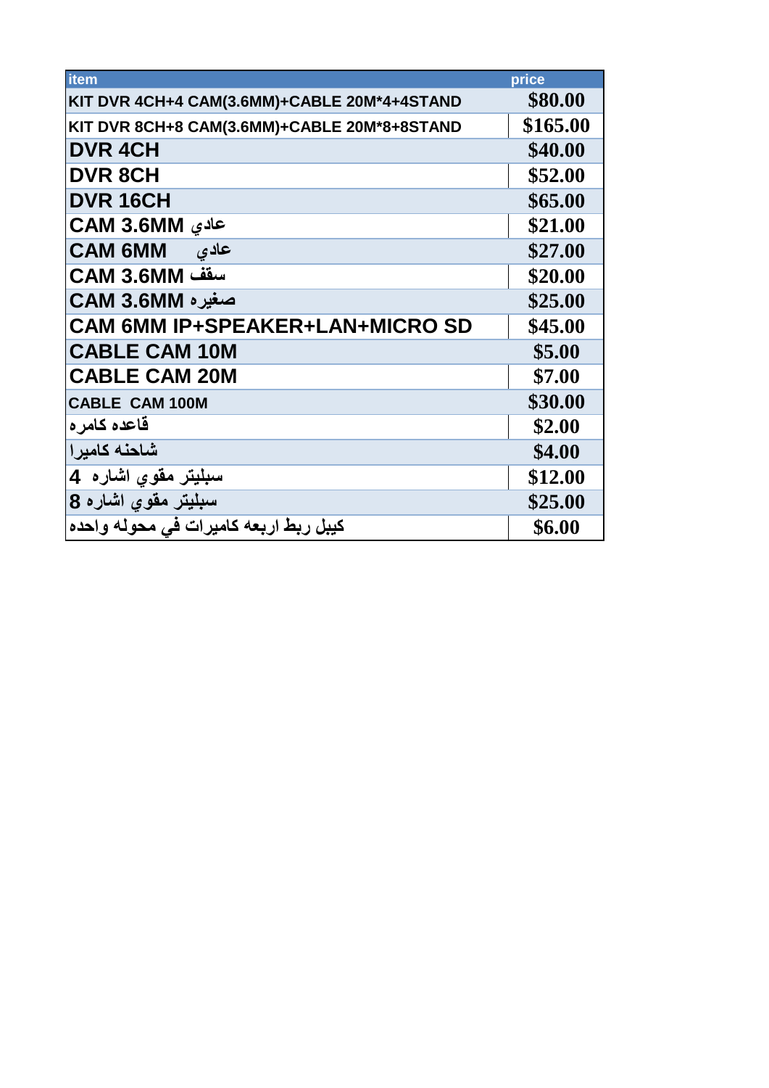| item                                        | price    |
|---------------------------------------------|----------|
| KIT DVR 4CH+4 CAM(3.6MM)+CABLE 20M*4+4STAND | \$80.00  |
| KIT DVR 8CH+8 CAM(3.6MM)+CABLE 20M*8+8STAND | \$165.00 |
| <b>DVR 4CH</b>                              | \$40.00  |
| <b>DVR 8CH</b>                              | \$52.00  |
| DVR 16CH                                    | \$65.00  |
| عادي CAM 3.6MM                              | \$21.00  |
| <b>CAM 6MM</b><br>عادی                      | \$27.00  |
| سقف CAM 3.6MM                               | \$20.00  |
| صغيره CAM 3.6MM                             | \$25.00  |
| <b>CAM 6MM IP+SPEAKER+LAN+MICRO SD</b>      | \$45.00  |
| <b>CABLE CAM 10M</b>                        | \$5.00   |
| <b>CABLE CAM 20M</b>                        | \$7.00   |
| <b>CABLE CAM 100M</b>                       | \$30.00  |
| قاعده كامر ه                                | \$2.00   |
| شاحنه كامير ا                               | \$4.00   |
| سبليتر مقوي اشاره 4                         | \$12.00  |
| سبليتر مقوي اشاره 8                         | \$25.00  |
| كيبل ربط اربعه كاميرات في محوله واحده       | \$6.00   |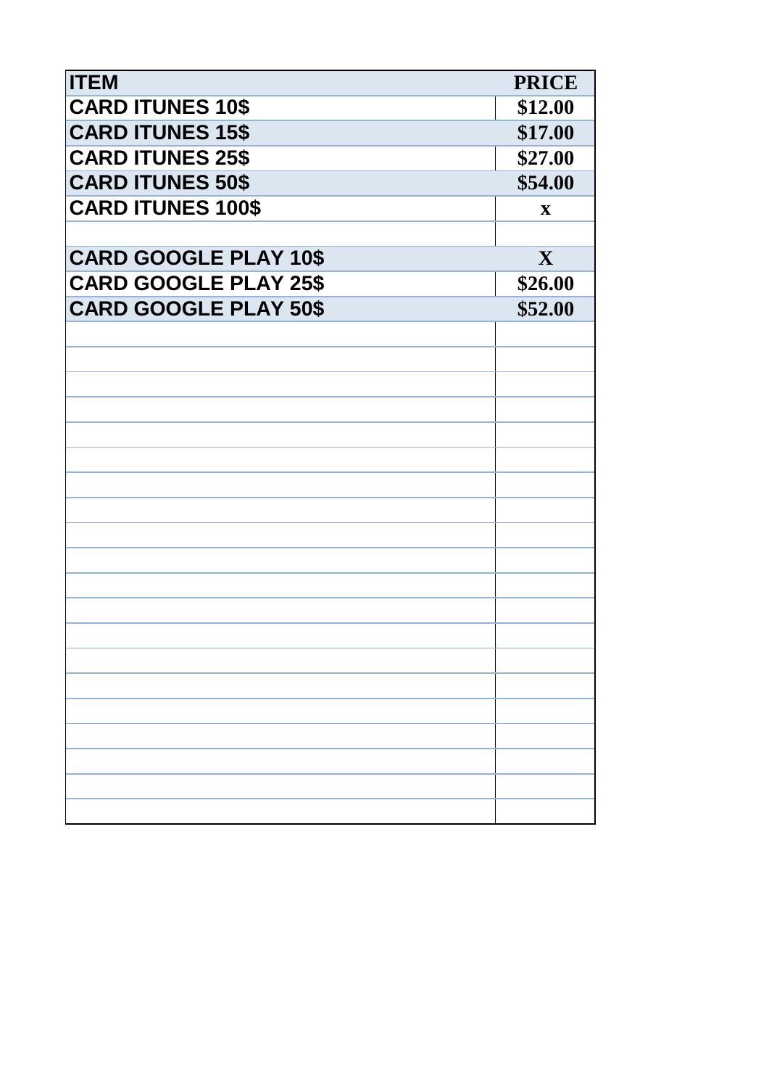| <b>ITEM</b>                  | <b>PRICE</b> |
|------------------------------|--------------|
| <b>CARD ITUNES 10\$</b>      | \$12.00      |
| <b>CARD ITUNES 15\$</b>      | \$17.00      |
| <b>CARD ITUNES 25\$</b>      | \$27.00      |
| <b>CARD ITUNES 50\$</b>      | \$54.00      |
| <b>CARD ITUNES 100\$</b>     | $\mathbf X$  |
|                              |              |
| <b>CARD GOOGLE PLAY 10\$</b> | $\mathbf{X}$ |
| <b>CARD GOOGLE PLAY 25\$</b> | \$26.00      |
| <b>CARD GOOGLE PLAY 50\$</b> | \$52.00      |
|                              |              |
|                              |              |
|                              |              |
|                              |              |
|                              |              |
|                              |              |
|                              |              |
|                              |              |
|                              |              |
|                              |              |
|                              |              |
|                              |              |
|                              |              |
|                              |              |
|                              |              |
|                              |              |
|                              |              |
|                              |              |
|                              |              |
|                              |              |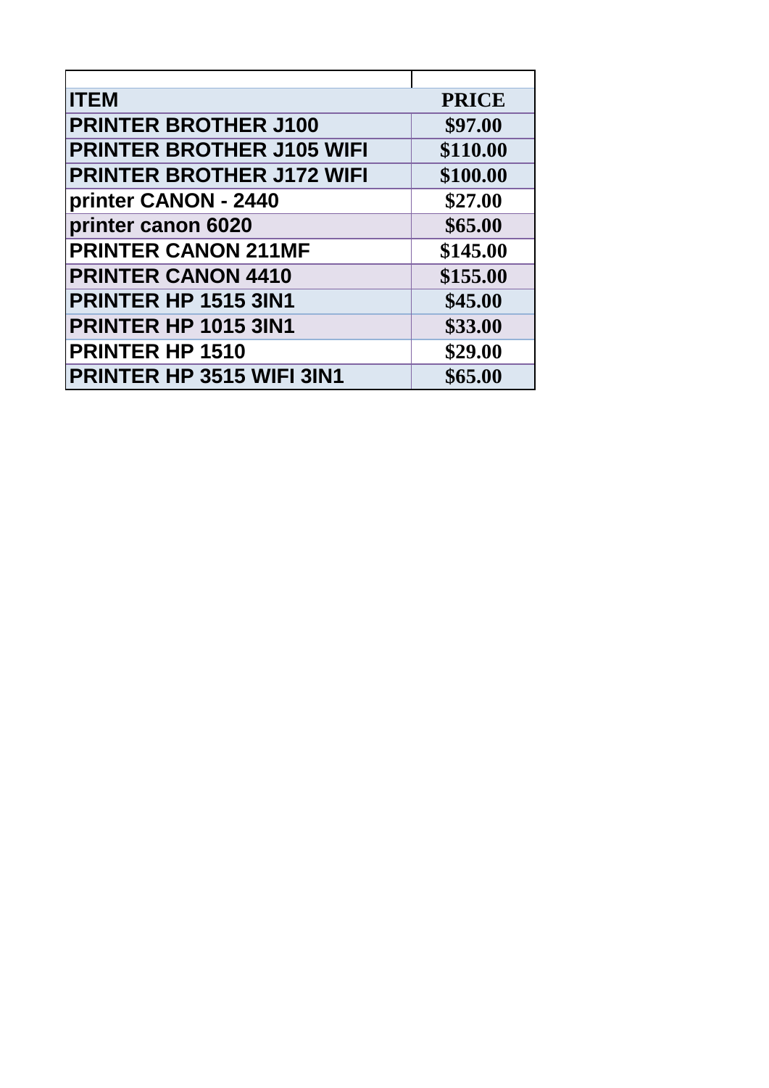| <b>ITEM</b>                      | <b>PRICE</b> |
|----------------------------------|--------------|
| <b>PRINTER BROTHER J100</b>      | \$97.00      |
| <b>PRINTER BROTHER J105 WIFI</b> | \$110.00     |
| <b>PRINTER BROTHER J172 WIFI</b> | \$100.00     |
| printer CANON - 2440             | \$27.00      |
| printer canon 6020               | \$65.00      |
| <b>PRINTER CANON 211MF</b>       | \$145.00     |
| <b>PRINTER CANON 4410</b>        | \$155.00     |
| <b>PRINTER HP 1515 3IN1</b>      | \$45.00      |
| <b>PRINTER HP 1015 3IN1</b>      | \$33.00      |
| <b>PRINTER HP 1510</b>           | \$29.00      |
| <b>PRINTER HP 3515 WIFI 3IN1</b> | \$65.00      |